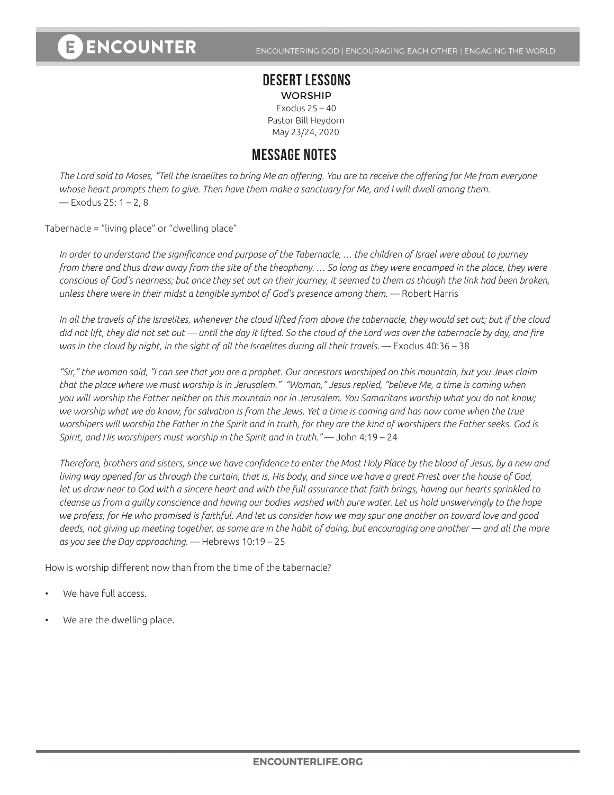## **DESERT LESSONS** WORSHIP

Exodus 25 – 40 Pastor Bill Heydorn May 23/24, 2020

## **MESSAGE NOTES**

*The Lord said to Moses, "Tell the Israelites to bring Me an offering. You are to receive the offering for Me from everyone whose heart prompts them to give. Then have them make a sanctuary for Me, and I will dwell among them.*  — Exodus 25: 1 – 2, 8

Tabernacle = "living place" or "dwelling place"

*In order to understand the significance and purpose of the Tabernacle, … the children of Israel were about to journey from there and thus draw away from the site of the theophany. … So long as they were encamped in the place, they were conscious of God's nearness; but once they set out on their journey, it seemed to them as though the link had been broken, unless there were in their midst a tangible symbol of God's presence among them.* — Robert Harris

*In all the travels of the Israelites, whenever the cloud lifted from above the tabernacle, they would set out; but if the cloud did not lift, they did not set out — until the day it lifted. So the cloud of the Lord was over the tabernacle by day, and fire was in the cloud by night, in the sight of all the Israelites during all their travels.* — Exodus 40:36 – 38

*"Sir," the woman said, "I can see that you are a prophet. Our ancestors worshiped on this mountain, but you Jews claim that the place where we must worship is in Jerusalem." "Woman," Jesus replied, "believe Me, a time is coming when you will worship the Father neither on this mountain nor in Jerusalem. You Samaritans worship what you do not know;*  we worship what we do know, for salvation is from the Jews. Yet a time is coming and has now come when the true *worshipers will worship the Father in the Spirit and in truth, for they are the kind of worshipers the Father seeks. God is Spirit, and His worshipers must worship in the Spirit and in truth."* — John 4:19 – 24

*Therefore, brothers and sisters, since we have confidence to enter the Most Holy Place by the blood of Jesus, by a new and living way opened for us through the curtain, that is, His body, and since we have a great Priest over the house of God, let us draw near to God with a sincere heart and with the full assurance that faith brings, having our hearts sprinkled to cleanse us from a guilty conscience and having our bodies washed with pure water. Let us hold unswervingly to the hope we profess, for He who promised is faithful. And let us consider how we may spur one another on toward love and good deeds, not giving up meeting together, as some are in the habit of doing, but encouraging one another — and all the more as you see the Day approaching.* — Hebrews 10:19 – 25

How is worship different now than from the time of the tabernacle?

- We have full access.
- We are the dwelling place.